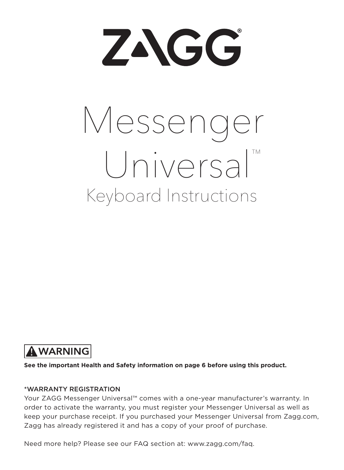ZAGG

# Keyboard Instructions Messenger Universal™



**See the important Health and Safety information on page 6 before using this product.**

#### \*WARRANTY REGISTRATION

Your ZAGG Messenger Universal™ comes with a one-year manufacturer's warranty. In order to activate the warranty, you must register your Messenger Universal as well as keep your purchase receipt. If you purchased your Messenger Universal from Zagg.com, Zagg has already registered it and has a copy of your proof of purchase.

Need more help? Please see our FAQ section at: www.zagg.com/faq.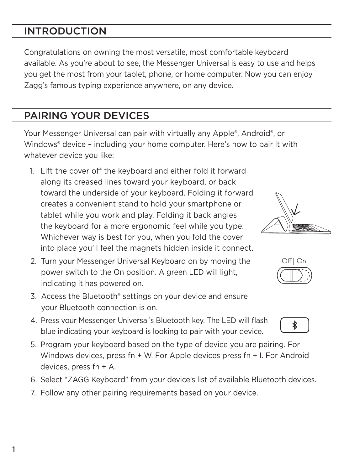## INTRODUCTION

Congratulations on owning the most versatile, most comfortable keyboard available. As you're about to see, the Messenger Universal is easy to use and helps you get the most from your tablet, phone, or home computer. Now you can enjoy Zagg's famous typing experience anywhere, on any device.

## PAIRING YOUR DEVICES

Your Messenger Universal can pair with virtually any Apple®, Android®, or Windows® device – including your home computer. Here's how to pair it with whatever device you like:

- 1. Lift the cover off the keyboard and either fold it forward along its creased lines toward your keyboard, or back toward the underside of your keyboard. Folding it forward creates a convenient stand to hold your smartphone or tablet while you work and play. Folding it back angles the keyboard for a more ergonomic feel while you type. Whichever way is best for you, when you fold the cover into place you'll feel the magnets hidden inside it connect.
- 2. Turn your Messenger Universal Keyboard on by moving the power switch to the On position. A green LED will light, indicating it has powered on.
- 3. Access the Bluetooth® settings on your device and ensure your Bluetooth connection is on.
- 4. Press your Messenger Universal's Bluetooth key. The LED will flash blue indicating your keyboard is looking to pair with your device.
- 5. Program your keyboard based on the type of device you are pairing. For Windows devices, press fn + W. For Apple devices press fn + I. For Android devices, press fn + A.
- 6. Select "ZAGG Keyboard" from your device's list of available Bluetooth devices.
- 7. Follow any other pairing requirements based on your device.





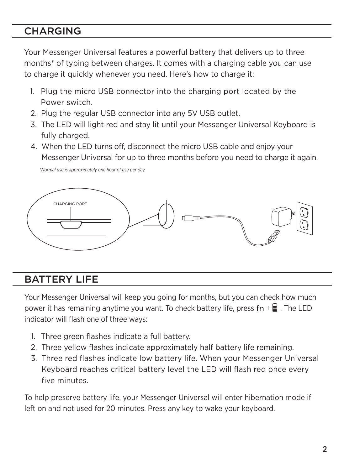#### **CHARGING**

Your Messenger Universal features a powerful battery that delivers up to three months\* of typing between charges. It comes with a charging cable you can use to charge it quickly whenever you need. Here's how to charge it:

- 1. Plug the micro USB connector into the charging port located by the Power switch.
- 2. Plug the regular USB connector into any 5V USB outlet.
- 3. The LED will light red and stay lit until your Messenger Universal Keyboard is fully charged.
- 4. When the LED turns off, disconnect the micro USB cable and enjoy your Messenger Universal for up to three months before you need to charge it again.

 *\*Normal use is approximately one hour of use per day.*



#### BATTERY LIFE

Your Messenger Universal will keep you going for months, but you can check how much power it has remaining anytime you want. To check battery life, press  $fn + \equiv$ . The LED indicator will flash one of three ways:

- 1. Three green flashes indicate a full battery.
- 2. Three yellow flashes indicate approximately half battery life remaining.
- 3. Three red flashes indicate low battery life. When your Messenger Universal Keyboard reaches critical battery level the LED will flash red once every five minutes.

To help preserve battery life, your Messenger Universal will enter hibernation mode if left on and not used for 20 minutes. Press any key to wake your keyboard.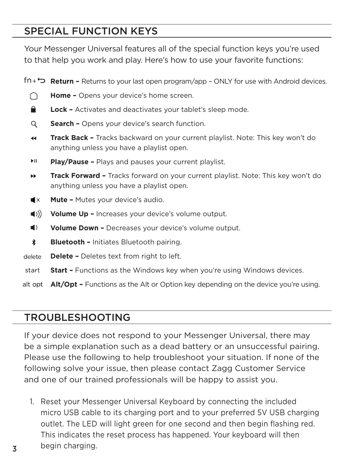#### SPECIAL FUNCTION KEYS

Your Messenger Universal features all of the special function keys you're used to that help you work and play. Here's how to use your favorite functions:

**Return –** Returns to your last open program/app – ONLY for use with Android devices. ∩ **Home –** Opens your device's home screen. Α. **Lock –** Activates and deactivates your tablet's sleep mode.  $\Omega$ **Search –** Opens your device's search function. **Track Back –** Tracks backward on your current playlist. Note: This key won't do 44 anything unless you have a playlist open. **EIL Play/Pause –** Plays and pauses your current playlist. ÞÞ. **Track Forward –** Tracks forward on your current playlist. Note: This key won't do anything unless you have a playlist open.  $\blacksquare$ **Mute –** Mutes your device's audio.  $\langle \langle \rangle \rangle$ **Volume Up –** Increases your device's volume output.  $\blacksquare$ **Volume Down –** Decreases your device's volume output. \* **Bluetooth –** Initiates Bluetooth pairing. **Delete -** Deletes text from right to left. delete start **Start –** Functions as the Windows key when you're using Windows devices. **Alt/Opt –** Functions as the Alt or Option key depending on the device you're using.

#### TROUBLESHOOTING

If your device does not respond to your Messenger Universal, there may be a simple explanation such as a dead battery or an unsuccessful pairing. Please use the following to help troubleshoot your situation. If none of the following solve your issue, then please contact Zagg Customer Service and one of our trained professionals will be happy to assist you.

 1. Reset your Messenger Universal Keyboard by connecting the included micro USB cable to its charging port and to your preferred 5V USB charging outlet. The LED will light green for one second and then begin flashing red. This indicates the reset process has happened. Your keyboard will then begin charging.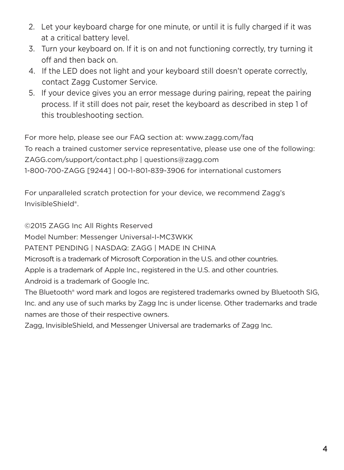- 2. Let your keyboard charge for one minute, or until it is fully charged if it was at a critical battery level.
- 3. Turn your keyboard on. If it is on and not functioning correctly, try turning it off and then back on.
- 4. If the LED does not light and your keyboard still doesn't operate correctly, contact Zagg Customer Service.
- 5. If your device gives you an error message during pairing, repeat the pairing process. If it still does not pair, reset the keyboard as described in step 1 of this troubleshooting section.

For more help, please see our FAQ section at: www.zagg.com/faq To reach a trained customer service representative, please use one of the following: ZAGG.com/support/contact.php | questions@zagg.com 1-800-700-ZAGG [9244] | 00-1-801-839-3906 for international customers

For unparalleled scratch protection for your device, we recommend Zagg's InvisibleShield®.

©2015 ZAGG Inc All Rights Reserved

Model Number: Messenger Universal-I-MC3WKK

PATENT PENDING | NASDAQ: ZAGG | MADE IN CHINA

Microsoft is a trademark of Microsoft Corporation in the U.S. and other countries.

Apple is a trademark of Apple Inc., registered in the U.S. and other countries.

Android is a trademark of Google Inc.

The Bluetooth® word mark and logos are registered trademarks owned by Bluetooth SIG, Inc. and any use of such marks by Zagg Inc is under license. Other trademarks and trade names are those of their respective owners.

Zagg, InvisibleShield, and Messenger Universal are trademarks of Zagg Inc.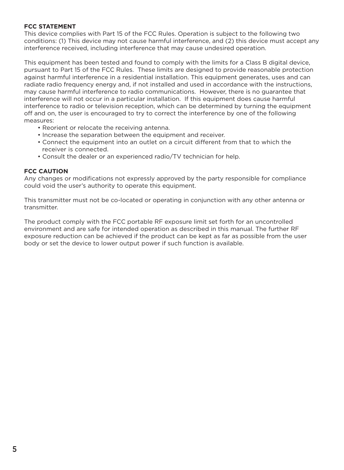#### **FCC STATEMENT**

This device complies with Part 15 of the FCC Rules. Operation is subject to the following two conditions: (1) This device may not cause harmful interference, and (2) this device must accept any interference received, including interference that may cause undesired operation.

This equipment has been tested and found to comply with the limits for a Class B digital device, pursuant to Part 15 of the FCC Rules. These limits are designed to provide reasonable protection against harmful interference in a residential installation. This equipment generates, uses and can radiate radio frequency energy and, if not installed and used in accordance with the instructions, may cause harmful interference to radio communications. However, there is no guarantee that interference will not occur in a particular installation. If this equipment does cause harmful interference to radio or television reception, which can be determined by turning the equipment off and on, the user is encouraged to try to correct the interference by one of the following measures:

- Reorient or relocate the receiving antenna.
- Increase the separation between the equipment and receiver.
- Connect the equipment into an outlet on a circuit different from that to which the receiver is connected.
- Consult the dealer or an experienced radio/TV technician for help.

#### **FCC CAUTION**

Any changes or modifications not expressly approved by the party responsible for compliance could void the user's authority to operate this equipment.

This transmitter must not be co-located or operating in conjunction with any other antenna or transmitter.

The product comply with the FCC portable RF exposure limit set forth for an uncontrolled environment and are safe for intended operation as described in this manual. The further RF exposure reduction can be achieved if the product can be kept as far as possible from the user body or set the device to lower output power if such function is available.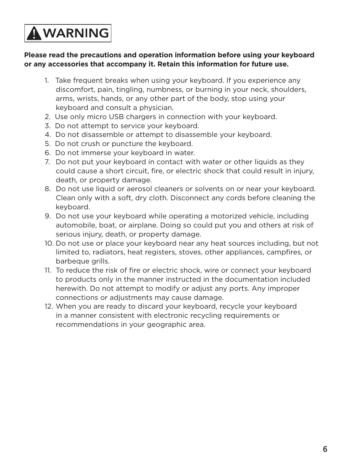## **AWARNING**

#### **Please read the precautions and operation information before using your keyboard or any accessories that accompany it. Retain this information for future use.**

- 1. Take frequent breaks when using your keyboard. If you experience any discomfort, pain, tingling, numbness, or burning in your neck, shoulders, arms, wrists, hands, or any other part of the body, stop using your keyboard and consult a physician.
- 2. Use only micro USB chargers in connection with your keyboard.
- 3. Do not attempt to service your keyboard.
- 4. Do not disassemble or attempt to disassemble your keyboard.
- 5. Do not crush or puncture the keyboard.
- 6. Do not immerse your keyboard in water.
- 7. Do not put your keyboard in contact with water or other liquids as they could cause a short circuit, fire, or electric shock that could result in injury, death, or property damage.
- 8. Do not use liquid or aerosol cleaners or solvents on or near your keyboard. Clean only with a soft, dry cloth. Disconnect any cords before cleaning the keyboard.
- 9. Do not use your keyboard while operating a motorized vehicle, including automobile, boat, or airplane. Doing so could put you and others at risk of serious injury, death, or property damage.
- 10. Do not use or place your keyboard near any heat sources including, but not limited to, radiators, heat registers, stoves, other appliances, campfires, or barbeque grills.
- 11. To reduce the risk of fire or electric shock, wire or connect your keyboard to products only in the manner instructed in the documentation included herewith. Do not attempt to modify or adjust any ports. Any improper connections or adjustments may cause damage.
- 12. When you are ready to discard your keyboard, recycle your keyboard in a manner consistent with electronic recycling requirements or recommendations in your geographic area.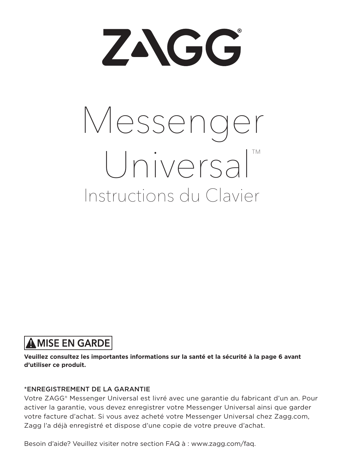ZAGG

# Instructions du Clavier Messenger Universal™

## **AMISE EN GARDE**

**Veuillez consultez les importantes informations sur la santé et la sécurité à la page 6 avant d'utiliser ce produit.**

#### \*ENREGISTREMENT DE LA GARANTIE

Votre ZAGG® Messenger Universal est livré avec une garantie du fabricant d'un an. Pour activer la garantie, vous devez enregistrer votre Messenger Universal ainsi que garder votre facture d'achat. Si vous avez acheté votre Messenger Universal chez Zagg.com, Zagg l'a déjà enregistré et dispose d'une copie de votre preuve d'achat.

Besoin d'aide? Veuillez visiter notre section FAQ à : www.zagg.com/faq.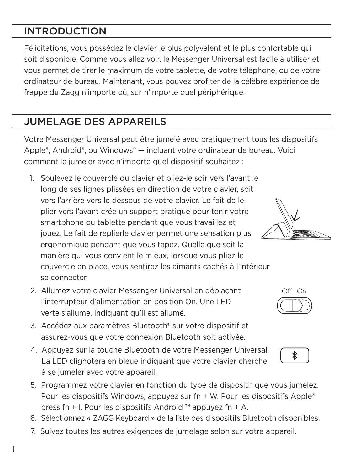### INTRODUCTION

Félicitations, vous possédez le clavier le plus polyvalent et le plus confortable qui soit disponible. Comme vous allez voir, le Messenger Universal est facile à utiliser et vous permet de tirer le maximum de votre tablette, de votre téléphone, ou de votre ordinateur de bureau. Maintenant, vous pouvez profiter de la célèbre expérience de frappe du Zagg n'importe où, sur n'importe quel périphérique.

#### JUMELAGE DES APPAREILS

Votre Messenger Universal peut être jumelé avec pratiquement tous les dispositifs Apple®, Android®, ou Windows® — incluant votre ordinateur de bureau. Voici comment le jumeler avec n'importe quel dispositif souhaitez :

- 1. Soulevez le couvercle du clavier et pliez-le soir vers l'avant le long de ses lignes plissées en direction de votre clavier, soit vers l'arrière vers le dessous de votre clavier. Le fait de le plier vers l'avant crée un support pratique pour tenir votre smartphone ou tablette pendant que vous travaillez et jouez. Le fait de replierle clavier permet une sensation plus ergonomique pendant que vous tapez. Quelle que soit la manière qui vous convient le mieux, lorsque vous pliez le couvercle en place, vous sentirez les aimants cachés à l'intérieur se connecter.
- 2. Allumez votre clavier Messenger Universal en déplaçant l'interrupteur d'alimentation en position On. Une LED verte s'allume, indiquant qu'il est allumé.
- 3. Accédez aux paramètres Bluetooth® sur votre dispositif et assurez-vous que votre connexion Bluetooth soit activée.
- 4. Appuyez sur la touche Bluetooth de votre Messenger Universal. La LED clignotera en bleue indiquant que votre clavier cherche à se jumeler avec votre appareil.
- 5. Programmez votre clavier en fonction du type de dispositif que vous jumelez. Pour les dispositifs Windows, appuyez sur fn + W. Pour les dispositifs Apple® press fn + I. Pour les dispositifs Android ™ appuyez fn + A.
- 6. Sélectionnez « ZAGG Keyboard » de la liste des dispositifs Bluetooth disponibles.
- 7. Suivez toutes les autres exigences de jumelage selon sur votre appareil.





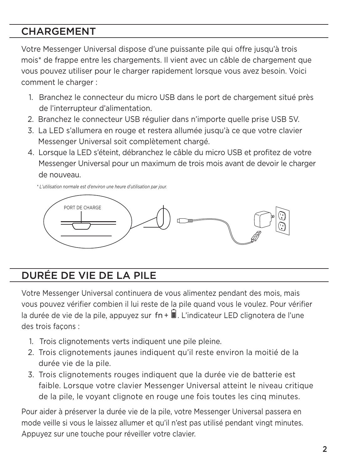#### **CHARGEMENT**

Votre Messenger Universal dispose d'une puissante pile qui offre jusqu'à trois mois\* de frappe entre les chargements. Il vient avec un câble de chargement que vous pouvez utiliser pour le charger rapidement lorsque vous avez besoin. Voici comment le charger :

- 1. Branchez le connecteur du micro USB dans le port de chargement situé près de l'interrupteur d'alimentation.
- 2. Branchez le connecteur USB régulier dans n'importe quelle prise USB 5V.
- 3. La LED s'allumera en rouge et restera allumée jusqu'à ce que votre clavier Messenger Universal soit complètement chargé.
- 4. Lorsque la LED s'éteint, débranchez le câble du micro USB et profitez de votre Messenger Universal pour un maximum de trois mois avant de devoir le charger de nouveau.

 *\* L'utilisation normale est d'environ une heure d'utilisation par jour.*



## DURÉE DE VIE DE LA PILE

Votre Messenger Universal continuera de vous alimentez pendant des mois, mais vous pouvez vérifier combien il lui reste de la pile quand vous le voulez. Pour vérifier la durée de vie de la pile, appuyez sur  $fn + \exists$ . L'indicateur LED clignotera de l'une des trois façons :

- 1. Trois clignotements verts indiquent une pile pleine.
- 2. Trois clignotements jaunes indiquent qu'il reste environ la moitié de la durée vie de la pile.
- 3. Trois clignotements rouges indiquent que la durée vie de batterie est faible. Lorsque votre clavier Messenger Universal atteint le niveau critique de la pile, le voyant clignote en rouge une fois toutes les cinq minutes.

Pour aider à préserver la durée vie de la pile, votre Messenger Universal passera en mode veille si vous le laissez allumer et qu'il n'est pas utilisé pendant vingt minutes. Appuyez sur une touche pour réveiller votre clavier.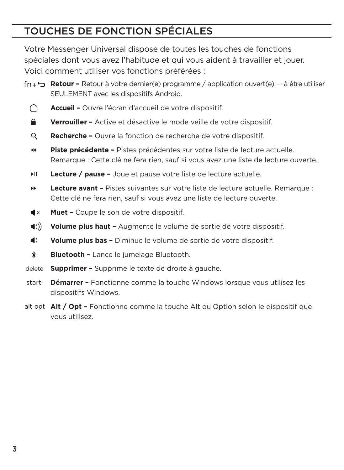## TOUCHES DE FONCTION SPÉCIALES

Votre Messenger Universal dispose de toutes les touches de fonctions spéciales dont vous avez l'habitude et qui vous aident à travailler et jouer. Voici comment utiliser vos fonctions préférées :

- **Retour –** Retour à votre dernier(e) programme / application ouvert(e) à être utiliser SEULEMENT avec les dispositifs Android.
	- **Accueil –** Ouvre l'écran d'accueil de votre dispositif. ∩
	- ≏ **Verrouiller –** Active et désactive le mode veille de votre dispositif.
	- Q **Recherche –** Ouvre la fonction de recherche de votre dispositif.
	- $\blacktriangleleft$ **Piste précédente –** Pistes précédentes sur votre liste de lecture actuelle. Remarque : Cette clé ne fera rien, sauf si vous avez une liste de lecture ouverte.
	- ыI. **Lecture / pause –** Joue et pause votre liste de lecture actuelle.
	- **Lecture avant –** Pistes suivantes sur votre liste de lecture actuelle. Remarque : ъ¥. Cette clé ne fera rien, sauf si vous avez une liste de lecture ouverte.
	- $\blacksquare$ **Muet –** Coupe le son de votre dispositif.
	- $\langle$ ( $\langle$ ) **Volume plus haut –** Augmente le volume de sortie de votre dispositif.
	- $\blacksquare$ **Volume plus bas –** Diminue le volume de sortie de votre dispositif.
	- **Bluetooth –** Lance le jumelage Bluetooth. \*
- **Supprimer –** Supprime le texte de droite à gauche.
- **Démarrer –** Fonctionne comme la touche Windows lorsque vous utilisez les start dispositifs Windows.
- **Alt / Opt –** Fonctionne comme la touche Alt ou Option selon le dispositif que vous utilisez.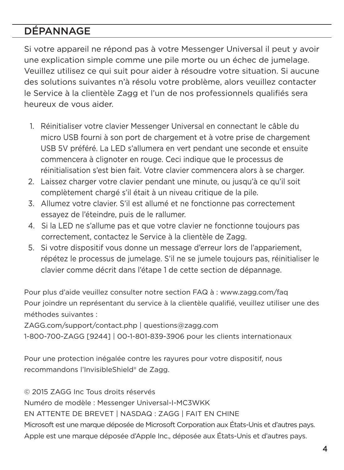### DÉPANNAGE

Si votre appareil ne répond pas à votre Messenger Universal il peut y avoir une explication simple comme une pile morte ou un échec de jumelage. Veuillez utilisez ce qui suit pour aider à résoudre votre situation. Si aucune des solutions suivantes n'à résolu votre problème, alors veuillez contacter le Service à la clientèle Zagg et l'un de nos professionnels qualifiés sera heureux de vous aider.

- 1. Réinitialiser votre clavier Messenger Universal en connectant le câble du micro USB fourni à son port de chargement et à votre prise de chargement USB 5V préféré. La LED s'allumera en vert pendant une seconde et ensuite commencera à clignoter en rouge. Ceci indique que le processus de réinitialisation s'est bien fait. Votre clavier commencera alors à se charger.
- 2. Laissez charger votre clavier pendant une minute, ou jusqu'à ce qu'il soit complètement chargé s'il était à un niveau critique de la pile.
- 3. Allumez votre clavier. S'il est allumé et ne fonctionne pas correctement essayez de l'éteindre, puis de le rallumer.
- 4. Si la LED ne s'allume pas et que votre clavier ne fonctionne toujours pas correctement, contactez le Service à la clientèle de Zagg.
- 5. Si votre dispositif vous donne un message d'erreur lors de l'appariement, répétez le processus de jumelage. S'il ne se jumele toujours pas, réinitialiser le clavier comme décrit dans l'étape 1 de cette section de dépannage.

Pour plus d'aide veuillez consulter notre section FAQ à : www.zagg.com/faq Pour joindre un représentant du service à la clientèle qualifié, veuillez utiliser une des méthodes suivantes :

ZAGG.com/support/contact.php | questions@zagg.com

1-800-700-ZAGG [9244] | 00-1-801-839-3906 pour les clients internationaux

Pour une protection inégalée contre les rayures pour votre dispositif, nous recommandons l'InvisibleShield® de Zagg.

© 2015 ZAGG Inc Tous droits réservés

Numéro de modèle : Messenger Universal-I-MC3WKK

EN ATTENTE DE BREVET | NASDAQ : ZAGG | FAIT EN CHINE

Microsoft est une marque déposée de Microsoft Corporation aux États-Unis et d'autres pays. Apple est une marque déposée d'Apple Inc., déposée aux États-Unis et d'autres pays.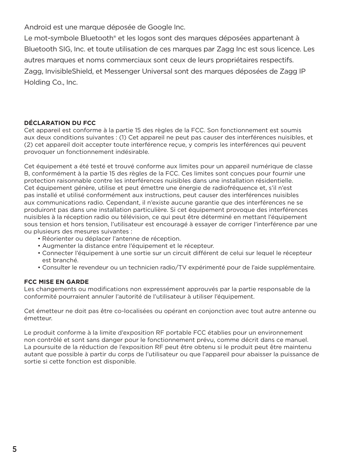Android est une marque déposée de Google Inc.

Le mot-symbole Bluetooth® et les logos sont des marques déposées appartenant à Bluetooth SIG, Inc. et toute utilisation de ces marques par Zagg Inc est sous licence. Les autres marques et noms commerciaux sont ceux de leurs propriétaires respectifs. Zagg, InvisibleShield, et Messenger Universal sont des marques déposées de Zagg IP Holding Co., Inc.

#### **DÉCLARATION DU FCC**

Cet appareil est conforme à la partie 15 des règles de la FCC. Son fonctionnement est soumis aux deux conditions suivantes : (1) Cet appareil ne peut pas causer des interférences nuisibles, et (2) cet appareil doit accepter toute interférence reçue, y compris les interférences qui peuvent provoquer un fonctionnement indésirable.

Cet équipement a été testé et trouvé conforme aux limites pour un appareil numérique de classe B, conformément à la partie 15 des règles de la FCC. Ces limites sont conçues pour fournir une protection raisonnable contre les interférences nuisibles dans une installation résidentielle. Cet équipement génère, utilise et peut émettre une énergie de radiofréquence et, s'il n'est pas installé et utilisé conformément aux instructions, peut causer des interférences nuisibles aux communications radio. Cependant, il n'existe aucune garantie que des interférences ne se produiront pas dans une installation particulière. Si cet équipement provoque des interférences nuisibles à la réception radio ou télévision, ce qui peut être déterminé en mettant l'équipement sous tension et hors tension, l'utilisateur est encouragé à essayer de corriger l'interférence par une ou plusieurs des mesures suivantes :

- Réorienter ou déplacer l'antenne de réception.
- Augmenter la distance entre l'équipement et le récepteur.
- Connecter l'équipement à une sortie sur un circuit différent de celui sur lequel le récepteur est branché.
- Consulter le revendeur ou un technicien radio/TV expérimenté pour de l'aide supplémentaire.

#### **FCC MISE EN GARDE**

Les changements ou modifications non expressément approuvés par la partie responsable de la conformité pourraient annuler l'autorité de l'utilisateur à utiliser l'équipement.

Cet émetteur ne doit pas être co-localisées ou opérant en conjonction avec tout autre antenne ou émetteur.

Le produit conforme à la limite d'exposition RF portable FCC établies pour un environnement non contrôlé et sont sans danger pour le fonctionnement prévu, comme décrit dans ce manuel. La poursuite de la réduction de l'exposition RF peut être obtenu si le produit peut être maintenu autant que possible à partir du corps de l'utilisateur ou que l'appareil pour abaisser la puissance de sortie si cette fonction est disponible.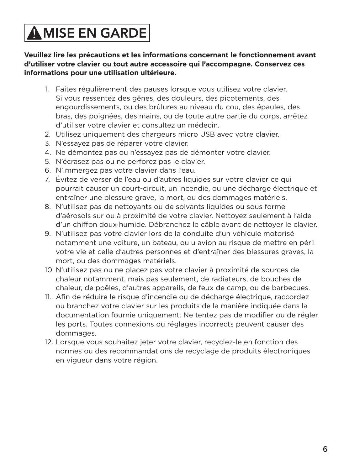## **AMISE EN GARDE**

**Veuillez lire les précautions et les informations concernant le fonctionnement avant d'utiliser votre clavier ou tout autre accessoire qui l'accompagne. Conservez ces informations pour une utilisation ultérieure.**

- 1. Faites régulièrement des pauses lorsque vous utilisez votre clavier. Si vous ressentez des gênes, des douleurs, des picotements, des engourdissements, ou des brûlures au niveau du cou, des épaules, des bras, des poignées, des mains, ou de toute autre partie du corps, arrêtez d'utiliser votre clavier et consultez un médecin.
- 2. Utilisez uniquement des chargeurs micro USB avec votre clavier.
- 3. N'essayez pas de réparer votre clavier.
- 4. Ne démontez pas ou n'essayez pas de démonter votre clavier.
- 5. N'écrasez pas ou ne perforez pas le clavier.
- 6. N'immergez pas votre clavier dans l'eau.
- 7. Évitez de verser de l'eau ou d'autres liquides sur votre clavier ce qui pourrait causer un court-circuit, un incendie, ou une décharge électrique et entraîner une blessure grave, la mort, ou des dommages matériels.
- 8. N'utilisez pas de nettoyants ou de solvants liquides ou sous forme d'aérosols sur ou à proximité de votre clavier. Nettoyez seulement à l'aide d'un chiffon doux humide. Débranchez le câble avant de nettoyer le clavier.
- 9. N'utilisez pas votre clavier lors de la conduite d'un véhicule motorisé notamment une voiture, un bateau, ou u avion au risque de mettre en péril votre vie et celle d'autres personnes et d'entraîner des blessures graves, la mort, ou des dommages matériels.
- 10. N'utilisez pas ou ne placez pas votre clavier à proximité de sources de chaleur notamment, mais pas seulement, de radiateurs, de bouches de chaleur, de poêles, d'autres appareils, de feux de camp, ou de barbecues.
- 11. Afin de réduire le risque d'incendie ou de décharge électrique, raccordez ou branchez votre clavier sur les produits de la manière indiquée dans la documentation fournie uniquement. Ne tentez pas de modifier ou de régler les ports. Toutes connexions ou réglages incorrects peuvent causer des dommages.
- 12. Lorsque vous souhaitez jeter votre clavier, recyclez-le en fonction des normes ou des recommandations de recyclage de produits électroniques en vigueur dans votre région.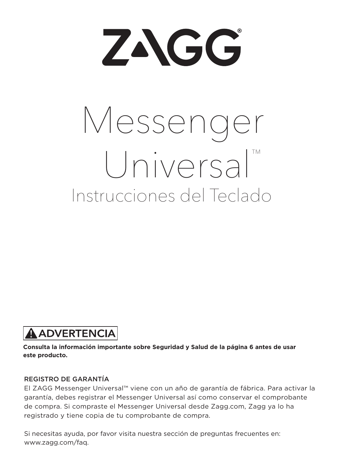ZAGG

# Instrucciones del Teclado Messenger Universal™

## **A ADVERTENCIA**

**Consulta la información importante sobre Seguridad y Salud de la página 6 antes de usar este producto.**

#### REGISTRO DE GARANTÍA

El ZAGG Messenger Universal™ viene con un año de garantía de fábrica. Para activar la garantía, debes registrar el Messenger Universal así como conservar el comprobante de compra. Si compraste el Messenger Universal desde Zagg.com, Zagg ya lo ha registrado y tiene copia de tu comprobante de compra.

Si necesitas ayuda, por favor visita nuestra sección de preguntas frecuentes en: www.zagg.com/faq.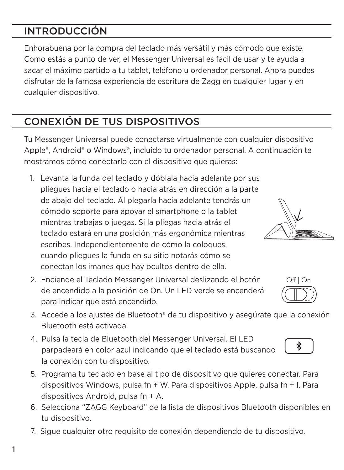## INTRODUCCIÓN

Enhorabuena por la compra del teclado más versátil y más cómodo que existe. Como estás a punto de ver, el Messenger Universal es fácil de usar y te ayuda a sacar el máximo partido a tu tablet, teléfono u ordenador personal. Ahora puedes disfrutar de la famosa experiencia de escritura de Zagg en cualquier lugar y en cualquier dispositivo.

## CONEXIÓN DE TUS DISPOSITIVOS

Tu Messenger Universal puede conectarse virtualmente con cualquier dispositivo Apple®, Android® o Windows®, incluido tu ordenador personal. A continuación te mostramos cómo conectarlo con el dispositivo que quieras:

- 1. Levanta la funda del teclado y dóblala hacia adelante por sus pliegues hacia el teclado o hacia atrás en dirección a la parte de abajo del teclado. Al plegarla hacia adelante tendrás un cómodo soporte para apoyar el smartphone o la tablet mientras trabajas o juegas. Si la pliegas hacia atrás el teclado estará en una posición más ergonómica mientras escribes. Independientemente de cómo la coloques, cuando pliegues la funda en su sitio notarás cómo se conectan los imanes que hay ocultos dentro de ella.
- 2. Enciende el Teclado Messenger Universal deslizando el botón de encendido a la posición de On. Un LED verde se encenderá para indicar que está encendido.
- 3. Accede a los ajustes de Bluetooth® de tu dispositivo y asegúrate que la conexión Bluetooth está activada.
- 4. Pulsa la tecla de Bluetooth del Messenger Universal. El LED parpadeará en color azul indicando que el teclado está buscando la conexión con tu dispositivo.
- 5. Programa tu teclado en base al tipo de dispositivo que quieres conectar. Para dispositivos Windows, pulsa fn + W. Para dispositivos Apple, pulsa fn + I. Para dispositivos Android, pulsa fn + A.
- 6. Selecciona "ZAGG Keyboard" de la lista de dispositivos Bluetooth disponibles en tu dispositivo.
- 7. Sigue cualquier otro requisito de conexión dependiendo de tu dispositivo.





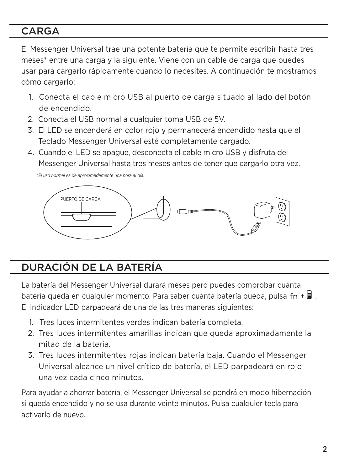#### CARGA

El Messenger Universal trae una potente batería que te permite escribir hasta tres meses\* entre una carga y la siguiente. Viene con un cable de carga que puedes usar para cargarlo rápidamente cuando lo necesites. A continuación te mostramos cómo cargarlo:

- 1. Conecta el cable micro USB al puerto de carga situado al lado del botón de encendido.
- 2. Conecta el USB normal a cualquier toma USB de 5V.
- 3. El LED se encenderá en color rojo y permanecerá encendido hasta que el Teclado Messenger Universal esté completamente cargado.
- 4. Cuando el LED se apague, desconecta el cable micro USB y disfruta del Messenger Universal hasta tres meses antes de tener que cargarlo otra vez.

 *\*El uso normal es de aproximadamente una hora al día.*



### DURACIÓN DE LA BATERÍA

La batería del Messenger Universal durará meses pero puedes comprobar cuánta batería queda en cualquier momento. Para saber cuánta batería queda, pulsa fn +  $\blacksquare$  . El indicador LED parpadeará de una de las tres maneras siguientes:

- 1. Tres luces intermitentes verdes indican batería completa.
- 2. Tres luces intermitentes amarillas indican que queda aproximadamente la mitad de la batería.
- 3. Tres luces intermitentes rojas indican batería baja. Cuando el Messenger Universal alcance un nivel crítico de batería, el LED parpadeará en rojo una vez cada cinco minutos.

Para ayudar a ahorrar batería, el Messenger Universal se pondrá en modo hibernación si queda encendido y no se usa durante veinte minutos. Pulsa cualquier tecla para activarlo de nuevo.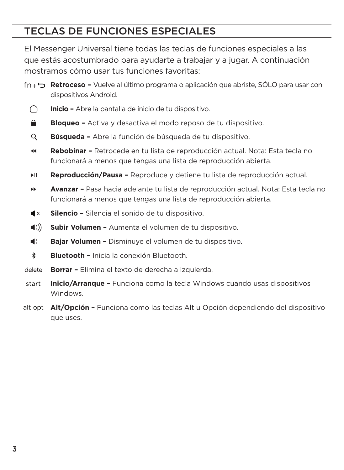#### TECLAS DE FUNCIONES ESPECIALES

El Messenger Universal tiene todas las teclas de funciones especiales a las que estás acostumbrado para ayudarte a trabajar y a jugar. A continuación mostramos cómo usar tus funciones favoritas:

- **Retroceso –** Vuelve al último programa o aplicación que abriste, SÓLO para usar con dispositivos Android.
	- **Inicio –** Abre la pantalla de inicio de tu dispositivo. ∩
	- **≙ Bloqueo –** Activa y desactiva el modo reposo de tu dispositivo.
	- Q **Búsqueda –** Abre la función de búsqueda de tu dispositivo.
	- $\blacktriangleleft$ **Rebobinar –** Retrocede en tu lista de reproducción actual. Nota: Esta tecla no funcionará a menos que tengas una lista de reproducción abierta.
	- **Reproducción/Pausa –** Reproduce y detiene tu lista de reproducción actual. ы.
	- ъk. **Avanzar –** Pasa hacia adelante tu lista de reproducción actual. Nota: Esta tecla no funcionará a menos que tengas una lista de reproducción abierta.
	- $\blacksquare$ **Silencio –** Silencia el sonido de tu dispositivo.
	- $\langle$ ( $\langle$ ) **Subir Volumen –** Aumenta el volumen de tu dispositivo.
	- $\blacksquare$ **Bajar Volumen –** Disminuye el volumen de tu dispositivo.
	- $\ast$ **Bluetooth –** Inicia la conexión Bluetooth.
- **Borrar –** Elimina el texto de derecha a izquierda. delete
- start **Inicio/Arranque –** Funciona como la tecla Windows cuando usas dispositivos Windows.
- **Alt/Opción –** Funciona como las teclas Alt u Opción dependiendo del dispositivo que uses.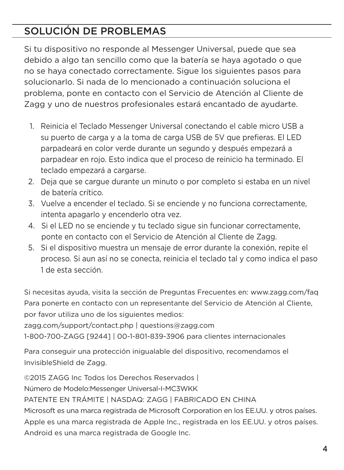## SOLUCIÓN DE PROBLEMAS

Si tu dispositivo no responde al Messenger Universal, puede que sea debido a algo tan sencillo como que la batería se haya agotado o que no se haya conectado correctamente. Sigue los siguientes pasos para solucionarlo. Si nada de lo mencionado a continuación soluciona el problema, ponte en contacto con el Servicio de Atención al Cliente de Zagg y uno de nuestros profesionales estará encantado de ayudarte.

- 1. Reinicia el Teclado Messenger Universal conectando el cable micro USB a su puerto de carga y a la toma de carga USB de 5V que prefieras. El LED parpadeará en color verde durante un segundo y después empezará a parpadear en rojo. Esto indica que el proceso de reinicio ha terminado. El teclado empezará a cargarse.
- 2. Deja que se cargue durante un minuto o por completo si estaba en un nivel de batería crítico.
- 3. Vuelve a encender el teclado. Si se enciende y no funciona correctamente, intenta apagarlo y encenderlo otra vez.
- 4. Si el LED no se enciende y tu teclado sigue sin funcionar correctamente, ponte en contacto con el Servicio de Atención al Cliente de Zagg.
- 5. Si el dispositivo muestra un mensaje de error durante la conexión, repite el proceso. Si aun así no se conecta, reinicia el teclado tal y como indica el paso 1 de esta sección.

Si necesitas ayuda, visita la sección de Preguntas Frecuentes en: www.zagg.com/faq Para ponerte en contacto con un representante del Servicio de Atención al Cliente, por favor utiliza uno de los siguientes medios:

zagg.com/support/contact.php | questions@zagg.com

1-800-700-ZAGG [9244] | 00-1-801-839-3906 para clientes internacionales

Para conseguir una protección inigualable del dispositivo, recomendamos el InvisibleShield de Zagg.

©2015 ZAGG Inc Todos los Derechos Reservados | Número de Modelo:Messenger Universal-I-MC3WKK PATENTE EN TRÁMITE | NASDAQ: ZAGG | FABRICADO EN CHINA Microsoft es una marca registrada de Microsoft Corporation en los EE.UU. y otros países. Apple es una marca registrada de Apple Inc., registrada en los EE.UU. y otros países. Android es una marca registrada de Google Inc.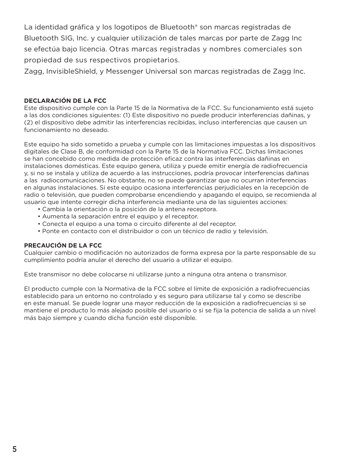La identidad gráfica y los logotipos de Bluetooth® son marcas registradas de Bluetooth SIG, Inc. y cualquier utilización de tales marcas por parte de Zagg Inc se efectúa bajo licencia. Otras marcas registradas y nombres comerciales son propiedad de sus respectivos propietarios.

Zagg, InvisibleShield, y Messenger Universal son marcas registradas de Zagg Inc.

#### **DECLARACIÓN DE LA FCC**

Este dispositivo cumple con la Parte 15 de la Normativa de la FCC. Su funcionamiento está sujeto a las dos condiciones siguientes: (1) Este dispositivo no puede producir interferencias dañinas, y (2) el dispositivo debe admitir las interferencias recibidas, incluso interferencias que causen un funcionamiento no deseado.

Este equipo ha sido sometido a prueba y cumple con las limitaciones impuestas a los dispositivos digitales de Clase B, de conformidad con la Parte 15 de la Normativa FCC. Dichas limitaciones se han concebido como medida de protección eficaz contra las interferencias dañinas en instalaciones domésticas. Este equipo genera, utiliza y puede emitir energía de radiofrecuencia y, si no se instala y utiliza de acuerdo a las instrucciones, podría provocar interferencias dañinas a las radiocomunicaciones. No obstante, no se puede garantizar que no ocurran interferencias en algunas instalaciones. Si este equipo ocasiona interferencias perjudiciales en la recepción de radio o televisión, que pueden comprobarse encendiendo y apagando el equipo, se recomienda al usuario que intente corregir dicha interferencia mediante una de las siguientes acciones:

- Cambia la orientación o la posición de la antena receptora.
- Aumenta la separación entre el equipo y el receptor.
- Conecta el equipo a una toma o circuito diferente al del receptor.
- Ponte en contacto con el distribuidor o con un técnico de radio y televisión.

#### **PRECAUCIÓN DE LA FCC**

Cualquier cambio o modificación no autorizados de forma expresa por la parte responsable de su cumplimiento podría anular el derecho del usuario a utilizar el equipo.

Este transmisor no debe colocarse ni utilizarse junto a ninguna otra antena o transmisor.

El producto cumple con la Normativa de la FCC sobre el límite de exposición a radiofrecuencias establecido para un entorno no controlado y es seguro para utilizarse tal y como se describe en este manual. Se puede lograr una mayor reducción de la exposición a radiofrecuencias si se mantiene el producto lo más alejado posible del usuario o si se fija la potencia de salida a un nivel más bajo siempre y cuando dicha función esté disponible.